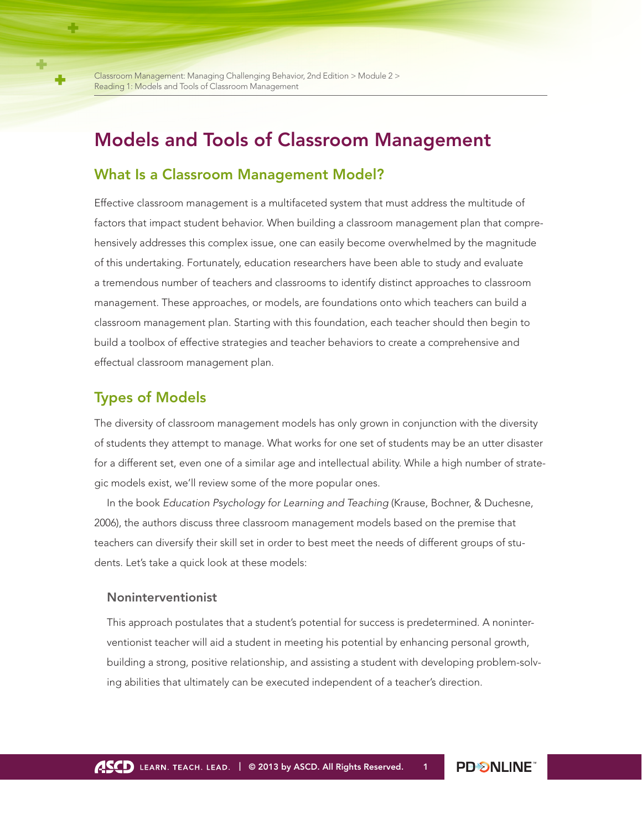# Models and Tools of Classroom Management

# What Is a Classroom Management Model?

Effective classroom management is a multifaceted system that must address the multitude of factors that impact student behavior. When building a classroom management plan that comprehensively addresses this complex issue, one can easily become overwhelmed by the magnitude of this undertaking. Fortunately, education researchers have been able to study and evaluate a tremendous number of teachers and classrooms to identify distinct approaches to classroom management. These approaches, or models, are foundations onto which teachers can build a classroom management plan. Starting with this foundation, each teacher should then begin to build a toolbox of effective strategies and teacher behaviors to create a comprehensive and effectual classroom management plan.

## Types of Models

The diversity of classroom management models has only grown in conjunction with the diversity of students they attempt to manage. What works for one set of students may be an utter disaster for a different set, even one of a similar age and intellectual ability. While a high number of strategic models exist, we'll review some of the more popular ones.

In the book *Education Psychology for Learning and Teaching* (Krause, Bochner, & Duchesne, 2006), the authors discuss three classroom management models based on the premise that teachers can diversify their skill set in order to best meet the needs of different groups of students. Let's take a quick look at these models:

### Noninterventionist

This approach postulates that a student's potential for success is predetermined. A noninterventionist teacher will aid a student in meeting his potential by enhancing personal growth, building a strong, positive relationship, and assisting a student with developing problem-solving abilities that ultimately can be executed independent of a teacher's direction.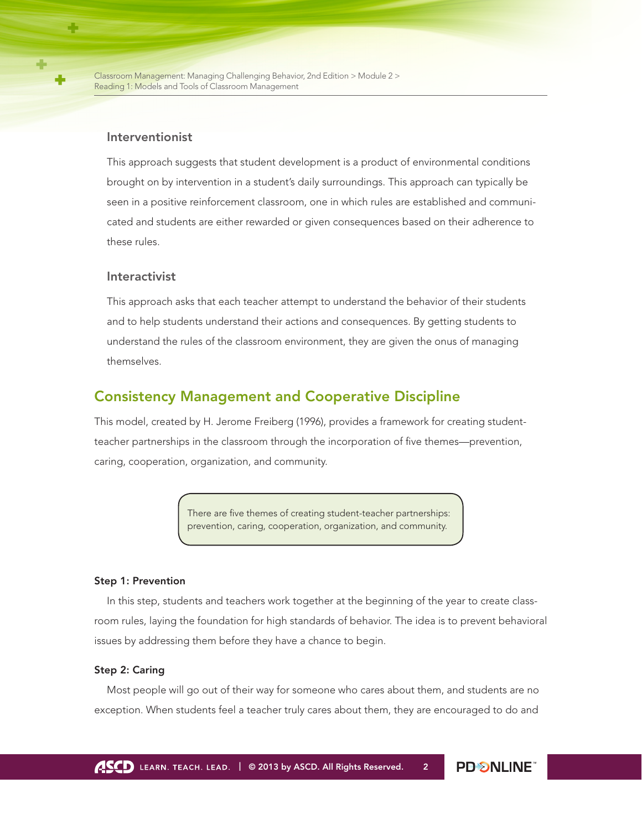#### Interventionist

This approach suggests that student development is a product of environmental conditions brought on by intervention in a student's daily surroundings. This approach can typically be seen in a positive reinforcement classroom, one in which rules are established and communicated and students are either rewarded or given consequences based on their adherence to these rules.

### Interactivist

This approach asks that each teacher attempt to understand the behavior of their students and to help students understand their actions and consequences. By getting students to understand the rules of the classroom environment, they are given the onus of managing themselves.

### Consistency Management and Cooperative Discipline

This model, created by H. Jerome Freiberg (1996), provides a framework for creating studentteacher partnerships in the classroom through the incorporation of five themes—prevention, caring, cooperation, organization, and community.

> There are five themes of creating student-teacher partnerships: prevention, caring, cooperation, organization, and community.

#### Step 1: Prevention

In this step, students and teachers work together at the beginning of the year to create classroom rules, laying the foundation for high standards of behavior. The idea is to prevent behavioral issues by addressing them before they have a chance to begin.

#### Step 2: Caring

Most people will go out of their way for someone who cares about them, and students are no exception. When students feel a teacher truly cares about them, they are encouraged to do and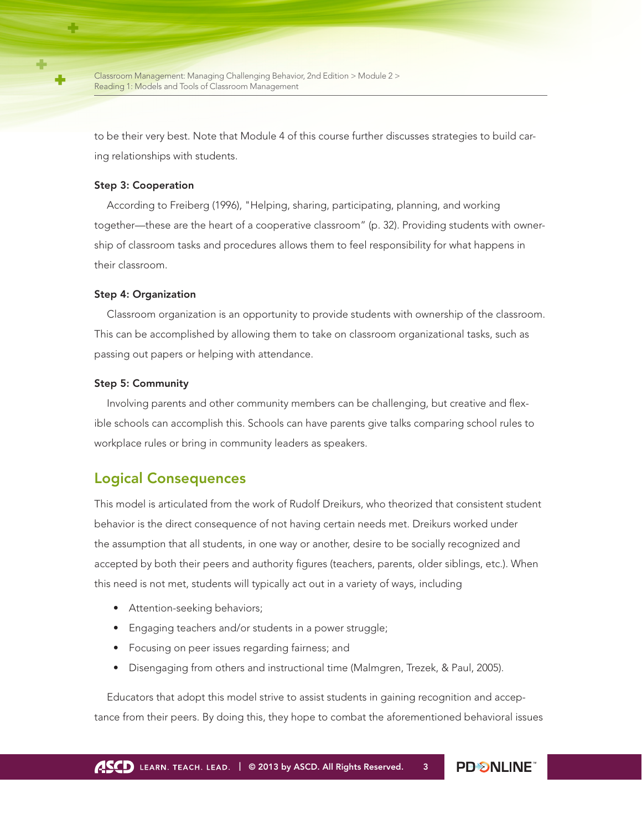to be their very best. Note that Module 4 of this course further discusses strategies to build caring relationships with students.

#### Step 3: Cooperation

According to Freiberg (1996), "Helping, sharing, participating, planning, and working together—these are the heart of a cooperative classroom" (p. 32). Providing students with ownership of classroom tasks and procedures allows them to feel responsibility for what happens in their classroom.

#### Step 4: Organization

Classroom organization is an opportunity to provide students with ownership of the classroom. This can be accomplished by allowing them to take on classroom organizational tasks, such as passing out papers or helping with attendance.

#### Step 5: Community

Involving parents and other community members can be challenging, but creative and flexible schools can accomplish this. Schools can have parents give talks comparing school rules to workplace rules or bring in community leaders as speakers.

### Logical Consequences

This model is articulated from the work of Rudolf Dreikurs, who theorized that consistent student behavior is the direct consequence of not having certain needs met. Dreikurs worked under the assumption that all students, in one way or another, desire to be socially recognized and accepted by both their peers and authority figures (teachers, parents, older siblings, etc.). When this need is not met, students will typically act out in a variety of ways, including

- Attention-seeking behaviors;
- Engaging teachers and/or students in a power struggle;
- Focusing on peer issues regarding fairness; and
- Disengaging from others and instructional time (Malmgren, Trezek, & Paul, 2005).

Educators that adopt this model strive to assist students in gaining recognition and acceptance from their peers. By doing this, they hope to combat the aforementioned behavioral issues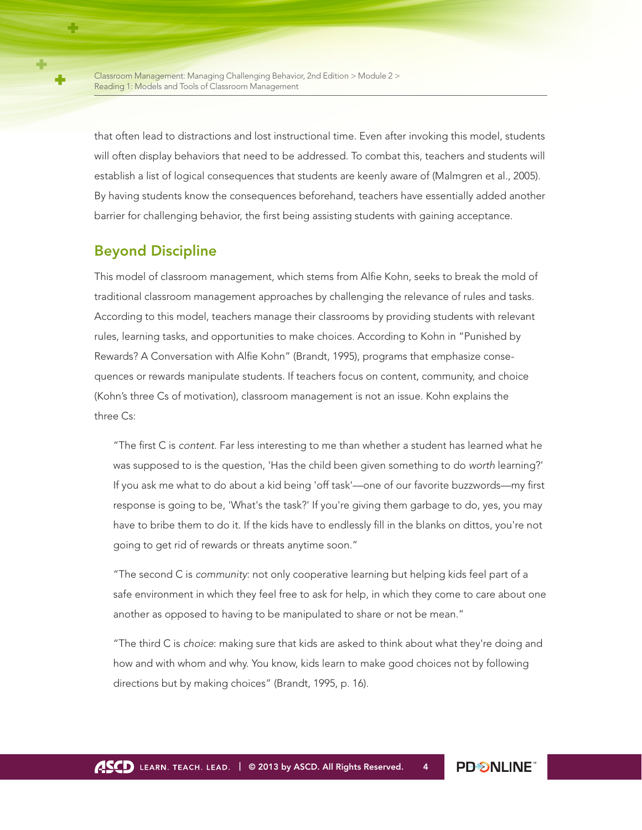that often lead to distractions and lost instructional time. Even after invoking this model, students will often display behaviors that need to be addressed. To combat this, teachers and students will establish a list of logical consequences that students are keenly aware of (Malmgren et al., 2005). By having students know the consequences beforehand, teachers have essentially added another barrier for challenging behavior, the first being assisting students with gaining acceptance.

## Beyond Discipline

This model of classroom management, which stems from Alfie Kohn, seeks to break the mold of traditional classroom management approaches by challenging the relevance of rules and tasks. According to this model, teachers manage their classrooms by providing students with relevant rules, learning tasks, and opportunities to make choices. According to Kohn in "Punished by Rewards? A Conversation with Alfie Kohn" (Brandt, 1995), programs that emphasize consequences or rewards manipulate students. If teachers focus on content, community, and choice (Kohn's three Cs of motivation), classroom management is not an issue. Kohn explains the three Cs:

"The first C is *content*. Far less interesting to me than whether a student has learned what he was supposed to is the question, 'Has the child been given something to do *worth* learning?' If you ask me what to do about a kid being 'off task'—one of our favorite buzzwords—my first response is going to be, 'What's the task?' If you're giving them garbage to do, yes, you may have to bribe them to do it. If the kids have to endlessly fill in the blanks on dittos, you're not going to get rid of rewards or threats anytime soon."

"The second C is *community*: not only cooperative learning but helping kids feel part of a safe environment in which they feel free to ask for help, in which they come to care about one another as opposed to having to be manipulated to share or not be mean."

"The third C is *choice*: making sure that kids are asked to think about what they're doing and how and with whom and why. You know, kids learn to make good choices not by following directions but by making choices" (Brandt, 1995, p. 16).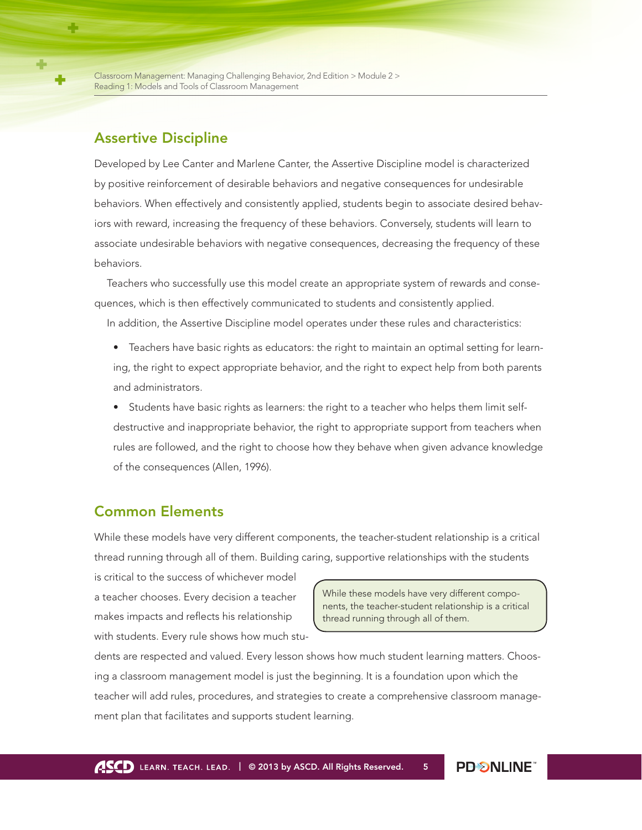### Assertive Discipline

Developed by Lee Canter and Marlene Canter, the Assertive Discipline model is characterized by positive reinforcement of desirable behaviors and negative consequences for undesirable behaviors. When effectively and consistently applied, students begin to associate desired behaviors with reward, increasing the frequency of these behaviors. Conversely, students will learn to associate undesirable behaviors with negative consequences, decreasing the frequency of these behaviors.

Teachers who successfully use this model create an appropriate system of rewards and consequences, which is then effectively communicated to students and consistently applied.

In addition, the Assertive Discipline model operates under these rules and characteristics:

- Teachers have basic rights as educators: the right to maintain an optimal setting for learning, the right to expect appropriate behavior, and the right to expect help from both parents and administrators.
- Students have basic rights as learners: the right to a teacher who helps them limit selfdestructive and inappropriate behavior, the right to appropriate support from teachers when rules are followed, and the right to choose how they behave when given advance knowledge of the consequences (Allen, 1996).

### Common Elements

While these models have very different components, the teacher-student relationship is a critical thread running through all of them. Building caring, supportive relationships with the students

is critical to the success of whichever model a teacher chooses. Every decision a teacher makes impacts and reflects his relationship with students. Every rule shows how much stu-

While these models have very different components, the teacher-student relationship is a critical thread running through all of them.

dents are respected and valued. Every lesson shows how much student learning matters. Choosing a classroom management model is just the beginning. It is a foundation upon which the teacher will add rules, procedures, and strategies to create a comprehensive classroom management plan that facilitates and supports student learning.